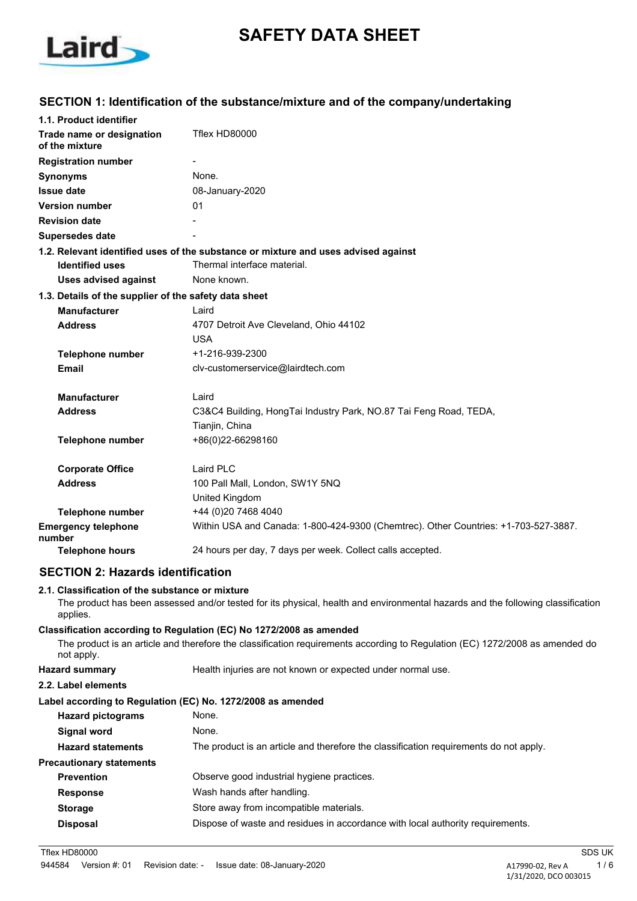

# **SAFETY DATA SHEET**

### **SECTION 1: Identification of the substance/mixture and of the company/undertaking**

| 1.1. Product identifier                               |                                                                                     |
|-------------------------------------------------------|-------------------------------------------------------------------------------------|
| Trade name or designation<br>of the mixture           | Tflex HD80000                                                                       |
| <b>Registration number</b>                            | $\blacksquare$                                                                      |
| <b>Synonyms</b>                                       | None.                                                                               |
| <b>Issue date</b>                                     | 08-January-2020                                                                     |
| <b>Version number</b>                                 | 01                                                                                  |
| <b>Revision date</b>                                  |                                                                                     |
| Supersedes date                                       |                                                                                     |
|                                                       | 1.2. Relevant identified uses of the substance or mixture and uses advised against  |
| <b>Identified uses</b>                                | Thermal interface material.                                                         |
| <b>Uses advised against</b>                           | None known.                                                                         |
| 1.3. Details of the supplier of the safety data sheet |                                                                                     |
| <b>Manufacturer</b>                                   | Laird                                                                               |
| <b>Address</b>                                        | 4707 Detroit Ave Cleveland, Ohio 44102                                              |
|                                                       | <b>USA</b>                                                                          |
| Telephone number                                      | +1-216-939-2300                                                                     |
| <b>Email</b>                                          | clv-customerservice@lairdtech.com                                                   |
| <b>Manufacturer</b>                                   | Laird                                                                               |
| <b>Address</b>                                        | C3&C4 Building, HongTai Industry Park, NO.87 Tai Feng Road, TEDA,                   |
|                                                       | Tianjin, China                                                                      |
| <b>Telephone number</b>                               | +86(0)22-66298160                                                                   |
| <b>Corporate Office</b>                               | Laird PLC                                                                           |
| <b>Address</b>                                        | 100 Pall Mall, London, SW1Y 5NQ                                                     |
|                                                       | United Kingdom                                                                      |
| <b>Telephone number</b>                               | +44 (0)20 7468 4040                                                                 |
| <b>Emergency telephone</b><br>number                  | Within USA and Canada: 1-800-424-9300 (Chemtrec). Other Countries: +1-703-527-3887. |
| <b>Telephone hours</b>                                | 24 hours per day, 7 days per week. Collect calls accepted.                          |
|                                                       |                                                                                     |

## **SECTION 2: Hazards identification**

#### **2.1. Classification of the substance or mixture**

The product has been assessed and/or tested for its physical, health and environmental hazards and the following classification applies.

**Classification according to Regulation (EC) No 1272/2008 as amended** The product is an article and therefore the classification requirements according to Regulation (EC) 1272/2008 as amended do not apply.

## **Hazard summary** Health injuries are not known or expected under normal use.

#### **2.2. Label elements**

#### **Label according to Regulation (EC) No. 1272/2008 as amended**

| <b>Hazard pictograms</b>        | None.                                                                                 |
|---------------------------------|---------------------------------------------------------------------------------------|
| <b>Signal word</b>              | None.                                                                                 |
| <b>Hazard statements</b>        | The product is an article and therefore the classification requirements do not apply. |
| <b>Precautionary statements</b> |                                                                                       |
| <b>Prevention</b>               | Observe good industrial hygiene practices.                                            |
| <b>Response</b>                 | Wash hands after handling.                                                            |
| <b>Storage</b>                  | Store away from incompatible materials.                                               |
| <b>Disposal</b>                 | Dispose of waste and residues in accordance with local authority requirements.        |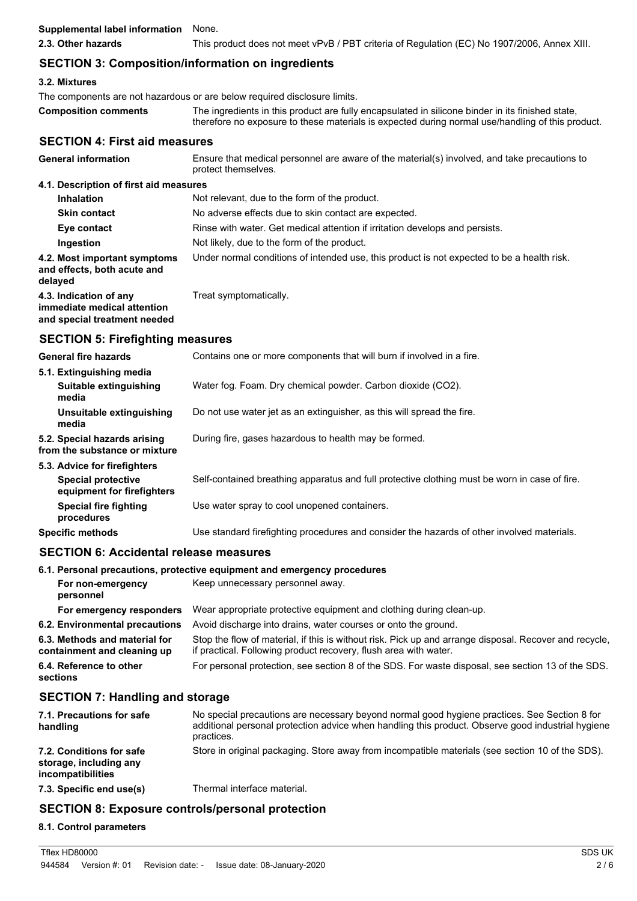| <b>Supplemental label information</b>                                                   | None.                                                                                                                                                                                                |
|-----------------------------------------------------------------------------------------|------------------------------------------------------------------------------------------------------------------------------------------------------------------------------------------------------|
| 2.3. Other hazards                                                                      | This product does not meet vPvB / PBT criteria of Regulation (EC) No 1907/2006, Annex XIII.                                                                                                          |
| <b>SECTION 3: Composition/information on ingredients</b>                                |                                                                                                                                                                                                      |
| 3.2. Mixtures                                                                           |                                                                                                                                                                                                      |
|                                                                                         | The components are not hazardous or are below required disclosure limits.                                                                                                                            |
| <b>Composition comments</b>                                                             | The ingredients in this product are fully encapsulated in silicone binder in its finished state,<br>therefore no exposure to these materials is expected during normal use/handling of this product. |
| <b>SECTION 4: First aid measures</b>                                                    |                                                                                                                                                                                                      |
| <b>General information</b>                                                              | Ensure that medical personnel are aware of the material(s) involved, and take precautions to<br>protect themselves.                                                                                  |
| 4.1. Description of first aid measures                                                  |                                                                                                                                                                                                      |
| <b>Inhalation</b>                                                                       | Not relevant, due to the form of the product.                                                                                                                                                        |
| <b>Skin contact</b>                                                                     | No adverse effects due to skin contact are expected.                                                                                                                                                 |
| Eye contact                                                                             | Rinse with water. Get medical attention if irritation develops and persists.                                                                                                                         |
| Ingestion                                                                               | Not likely, due to the form of the product.                                                                                                                                                          |
| 4.2. Most important symptoms<br>and effects, both acute and<br>delayed                  | Under normal conditions of intended use, this product is not expected to be a health risk.                                                                                                           |
| 4.3. Indication of any<br>immediate medical attention<br>and special treatment needed   | Treat symptomatically.                                                                                                                                                                               |
| <b>SECTION 5: Firefighting measures</b>                                                 |                                                                                                                                                                                                      |
| <b>General fire hazards</b>                                                             | Contains one or more components that will burn if involved in a fire.                                                                                                                                |
| 5.1. Extinguishing media                                                                |                                                                                                                                                                                                      |
| Suitable extinguishing<br>media                                                         | Water fog. Foam. Dry chemical powder. Carbon dioxide (CO2).                                                                                                                                          |
| Unsuitable extinguishing<br>media                                                       | Do not use water jet as an extinguisher, as this will spread the fire.                                                                                                                               |
| 5.2. Special hazards arising<br>from the substance or mixture                           | During fire, gases hazardous to health may be formed.                                                                                                                                                |
| 5.3. Advice for firefighters<br><b>Special protective</b><br>equipment for firefighters | Self-contained breathing apparatus and full protective clothing must be worn in case of fire.                                                                                                        |
| <b>Special fire fighting</b><br>procedures                                              | Use water spray to cool unopened containers.                                                                                                                                                         |
| <b>Specific methods</b>                                                                 | Use standard firefighting procedures and consider the hazards of other involved materials.                                                                                                           |
| <b>SECTION 6: Accidental release measures</b>                                           |                                                                                                                                                                                                      |
|                                                                                         | 6.1. Personal precautions, protective equipment and emergency procedures                                                                                                                             |
| For non-emergency<br>personnel                                                          | Keep unnecessary personnel away.                                                                                                                                                                     |
| For emergency responders                                                                | Wear appropriate protective equipment and clothing during clean-up.                                                                                                                                  |
| 6.2. Environmental precautions                                                          | Avoid discharge into drains, water courses or onto the ground.                                                                                                                                       |
| 6.3. Methods and material for<br>containment and cleaning up                            | Stop the flow of material, if this is without risk. Pick up and arrange disposal. Recover and recycle,<br>if practical. Following product recovery, flush area with water.                           |
| 6.4. Reference to other                                                                 | For personal protection, see section 8 of the SDS. For waste disposal, see section 13 of the SDS.                                                                                                    |

#### **sections**

## **SECTION 7: Handling and storage**

| 7.1. Precautions for safe<br>handling                                   | No special precautions are necessary beyond normal good hygiene practices. See Section 8 for<br>additional personal protection advice when handling this product. Observe good industrial hygiene<br>practices. |
|-------------------------------------------------------------------------|-----------------------------------------------------------------------------------------------------------------------------------------------------------------------------------------------------------------|
| 7.2. Conditions for safe<br>storage, including any<br>incompatibilities | Store in original packaging. Store away from incompatible materials (see section 10 of the SDS).                                                                                                                |
| 7.3. Specific end use(s)                                                | Thermal interface material.                                                                                                                                                                                     |

## **SECTION 8: Exposure controls/personal protection**

#### **8.1. Control parameters**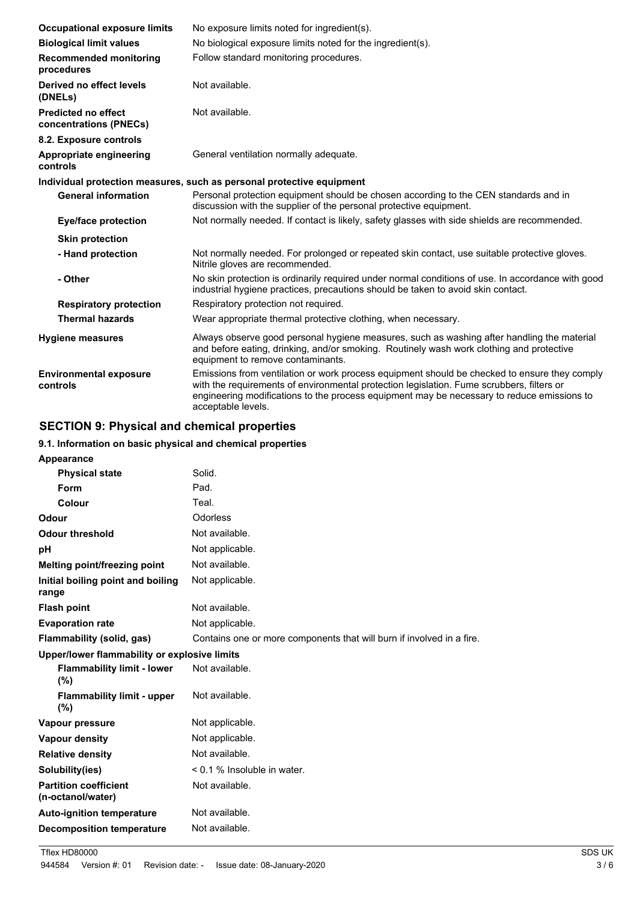| <b>Occupational exposure limits</b>                  | No exposure limits noted for ingredient(s).                                                                                                                                                                                                                                                                   |
|------------------------------------------------------|---------------------------------------------------------------------------------------------------------------------------------------------------------------------------------------------------------------------------------------------------------------------------------------------------------------|
| <b>Biological limit values</b>                       | No biological exposure limits noted for the ingredient(s).                                                                                                                                                                                                                                                    |
| <b>Recommended monitoring</b><br>procedures          | Follow standard monitoring procedures.                                                                                                                                                                                                                                                                        |
| Derived no effect levels<br>(DNELs)                  | Not available.                                                                                                                                                                                                                                                                                                |
| <b>Predicted no effect</b><br>concentrations (PNECs) | Not available.                                                                                                                                                                                                                                                                                                |
| 8.2. Exposure controls                               |                                                                                                                                                                                                                                                                                                               |
| Appropriate engineering<br>controls                  | General ventilation normally adequate.                                                                                                                                                                                                                                                                        |
|                                                      | Individual protection measures, such as personal protective equipment                                                                                                                                                                                                                                         |
| <b>General information</b>                           | Personal protection equipment should be chosen according to the CEN standards and in<br>discussion with the supplier of the personal protective equipment.                                                                                                                                                    |
| <b>Eye/face protection</b>                           | Not normally needed. If contact is likely, safety glasses with side shields are recommended.                                                                                                                                                                                                                  |
| <b>Skin protection</b>                               |                                                                                                                                                                                                                                                                                                               |
| - Hand protection                                    | Not normally needed. For prolonged or repeated skin contact, use suitable protective gloves.<br>Nitrile gloves are recommended.                                                                                                                                                                               |
| - Other                                              | No skin protection is ordinarily required under normal conditions of use. In accordance with good<br>industrial hygiene practices, precautions should be taken to avoid skin contact.                                                                                                                         |
| <b>Respiratory protection</b>                        | Respiratory protection not required.                                                                                                                                                                                                                                                                          |
| <b>Thermal hazards</b>                               | Wear appropriate thermal protective clothing, when necessary.                                                                                                                                                                                                                                                 |
| <b>Hygiene measures</b>                              | Always observe good personal hygiene measures, such as washing after handling the material<br>and before eating, drinking, and/or smoking. Routinely wash work clothing and protective<br>equipment to remove contaminants.                                                                                   |
| <b>Environmental exposure</b><br>controls            | Emissions from ventilation or work process equipment should be checked to ensure they comply<br>with the requirements of environmental protection legislation. Fume scrubbers, filters or<br>engineering modifications to the process equipment may be necessary to reduce emissions to<br>acceptable levels. |

## **SECTION 9: Physical and chemical properties**

### **9.1. Information on basic physical and chemical properties**

| Appearance                                        |                                                                       |
|---------------------------------------------------|-----------------------------------------------------------------------|
| <b>Physical state</b>                             | Solid.                                                                |
| <b>Form</b>                                       | Pad.                                                                  |
| Colour                                            | Teal.                                                                 |
| Odour                                             | Odorless                                                              |
| <b>Odour threshold</b>                            | Not available.                                                        |
| рH                                                | Not applicable.                                                       |
| Melting point/freezing point                      | Not available.                                                        |
| Initial boiling point and boiling<br>range        | Not applicable.                                                       |
| <b>Flash point</b>                                | Not available.                                                        |
| <b>Evaporation rate</b>                           | Not applicable.                                                       |
| Flammability (solid, gas)                         | Contains one or more components that will burn if involved in a fire. |
| Upper/lower flammability or explosive limits      |                                                                       |
| <b>Flammability limit - lower</b><br>(%)          | Not available.                                                        |
| <b>Flammability limit - upper</b><br>(%)          | Not available.                                                        |
| Vapour pressure                                   | Not applicable.                                                       |
| <b>Vapour density</b>                             | Not applicable.                                                       |
| <b>Relative density</b>                           | Not available.                                                        |
| Solubility(ies)                                   | $< 0.1$ % Insoluble in water.                                         |
| <b>Partition coefficient</b><br>(n-octanol/water) | Not available.                                                        |
| <b>Auto-ignition temperature</b>                  | Not available.                                                        |
| <b>Decomposition temperature</b>                  | Not available.                                                        |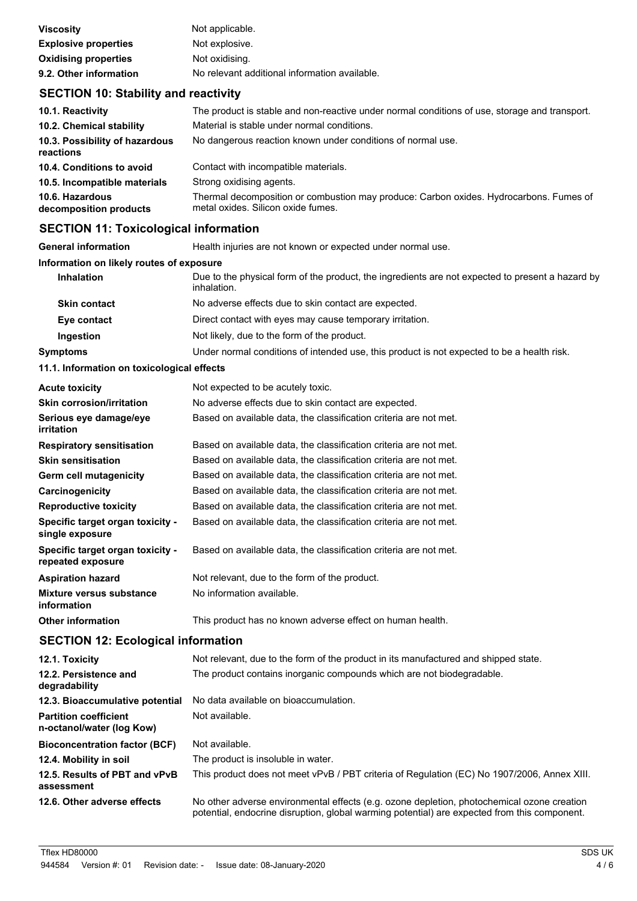| <b>Viscosity</b>            | Not applicable.                               |
|-----------------------------|-----------------------------------------------|
| <b>Explosive properties</b> | Not explosive.                                |
| <b>Oxidising properties</b> | Not oxidising.                                |
| 9.2. Other information      | No relevant additional information available. |

## **SECTION 10: Stability and reactivity**

| 10.1. Reactivity                            | The product is stable and non-reactive under normal conditions of use, storage and transport.                                |
|---------------------------------------------|------------------------------------------------------------------------------------------------------------------------------|
| 10.2. Chemical stability                    | Material is stable under normal conditions.                                                                                  |
| 10.3. Possibility of hazardous<br>reactions | No dangerous reaction known under conditions of normal use.                                                                  |
| 10.4. Conditions to avoid                   | Contact with incompatible materials.                                                                                         |
| 10.5. Incompatible materials                | Strong oxidising agents.                                                                                                     |
| 10.6. Hazardous<br>decomposition products   | Thermal decomposition or combustion may produce: Carbon oxides. Hydrocarbons. Fumes of<br>metal oxides. Silicon oxide fumes. |

## **SECTION 11: Toxicological information**

| <b>General information</b>               | Health injuries are not known or expected under normal use.                                                     |
|------------------------------------------|-----------------------------------------------------------------------------------------------------------------|
| Information on likely routes of exposure |                                                                                                                 |
| <b>Inhalation</b>                        | Due to the physical form of the product, the ingredients are not expected to present a hazard by<br>inhalation. |
| <b>Skin contact</b>                      | No adverse effects due to skin contact are expected.                                                            |
| Eye contact                              | Direct contact with eyes may cause temporary irritation.                                                        |
| Ingestion                                | Not likely, due to the form of the product.                                                                     |
| <b>Symptoms</b>                          | Under normal conditions of intended use, this product is not expected to be a health risk.                      |

#### **11.1. Information on toxicological effects**

| <b>Acute toxicity</b>                                 | Not expected to be acutely toxic.                                 |
|-------------------------------------------------------|-------------------------------------------------------------------|
| <b>Skin corrosion/irritation</b>                      | No adverse effects due to skin contact are expected.              |
| Serious eye damage/eye<br><i>irritation</i>           | Based on available data, the classification criteria are not met. |
| <b>Respiratory sensitisation</b>                      | Based on available data, the classification criteria are not met. |
| <b>Skin sensitisation</b>                             | Based on available data, the classification criteria are not met. |
| Germ cell mutagenicity                                | Based on available data, the classification criteria are not met. |
| Carcinogenicity                                       | Based on available data, the classification criteria are not met. |
| <b>Reproductive toxicity</b>                          | Based on available data, the classification criteria are not met. |
| Specific target organ toxicity -<br>single exposure   | Based on available data, the classification criteria are not met. |
| Specific target organ toxicity -<br>repeated exposure | Based on available data, the classification criteria are not met. |
| <b>Aspiration hazard</b>                              | Not relevant, due to the form of the product.                     |
| Mixture versus substance<br>information               | No information available.                                         |
| <b>Other information</b>                              | This product has no known adverse effect on human health.         |

## **SECTION 12: Ecological information**

| 12.1. Toxicity                                            | Not relevant, due to the form of the product in its manufactured and shipped state.                                                                                                        |
|-----------------------------------------------------------|--------------------------------------------------------------------------------------------------------------------------------------------------------------------------------------------|
| 12.2. Persistence and<br>degradability                    | The product contains inorganic compounds which are not biodegradable.                                                                                                                      |
| 12.3. Bioaccumulative potential                           | No data available on bioaccumulation.                                                                                                                                                      |
| <b>Partition coefficient</b><br>n-octanol/water (log Kow) | Not available.                                                                                                                                                                             |
| <b>Bioconcentration factor (BCF)</b>                      | Not available.                                                                                                                                                                             |
| 12.4. Mobility in soil                                    | The product is insoluble in water.                                                                                                                                                         |
| 12.5. Results of PBT and vPvB<br>assessment               | This product does not meet vPvB / PBT criteria of Regulation (EC) No 1907/2006, Annex XIII.                                                                                                |
| 12.6. Other adverse effects                               | No other adverse environmental effects (e.g. ozone depletion, photochemical ozone creation<br>potential, endocrine disruption, global warming potential) are expected from this component. |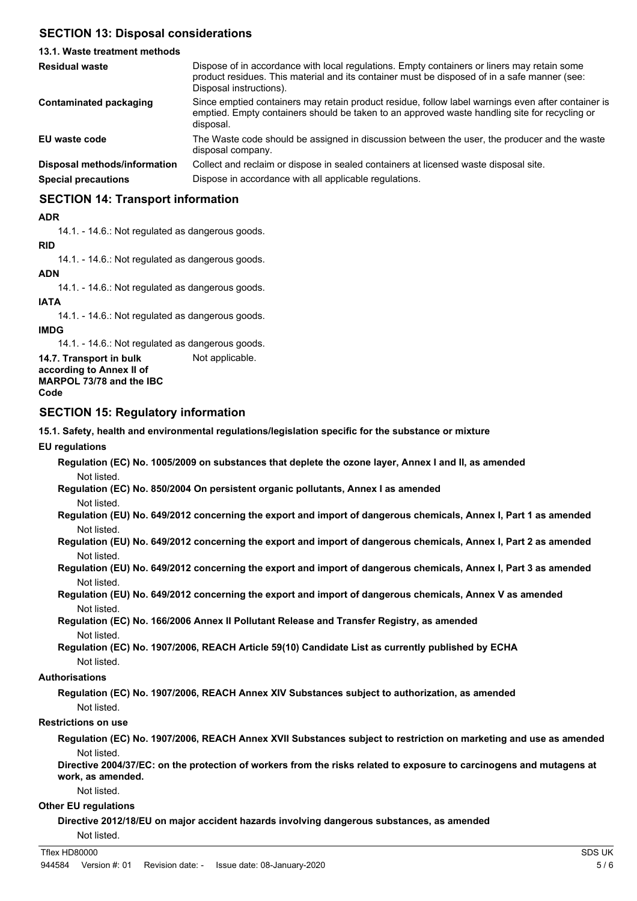## **SECTION 13: Disposal considerations**

#### **13.1. Waste treatment methods** Dispose of in accordance with local regulations. Empty containers or liners may retain some product residues. This material and its container must be disposed of in a safe manner (see: Disposal instructions). **Residual waste** Since emptied containers may retain product residue, follow label warnings even after container is emptied. Empty containers should be taken to an approved waste handling site for recycling or disposal. **Contaminated packaging EU waste code** The Waste code should be assigned in discussion between the user, the producer and the waste disposal company. **Disposal methods/information** Collect and reclaim or dispose in sealed containers at licensed waste disposal site. **Special precautions Dispose in accordance with all applicable regulations.**

## **SECTION 14: Transport information**

#### **ADR**

14.1. - 14.6.: Not regulated as dangerous goods.

#### **RID**

14.1. - 14.6.: Not regulated as dangerous goods.

#### **ADN**

14.1. - 14.6.: Not regulated as dangerous goods.

#### **IATA**

14.1. - 14.6.: Not regulated as dangerous goods.

#### **IMDG**

14.1. - 14.6.: Not regulated as dangerous goods.

**14.7. Transport in bulk** Not applicable. **according to Annex II of MARPOL 73/78 and the IBC Code**

#### **SECTION 15: Regulatory information**

**15.1. Safety, health and environmental regulations/legislation specific for the substance or mixture**

**EU regulations**

**Regulation (EC) No. 1005/2009 on substances that deplete the ozone layer, Annex I and II, as amended** Not listed.

**Regulation (EC) No. 850/2004 On persistent organic pollutants, Annex I as amended** Not listed.

**Regulation (EU) No. 649/2012 concerning the export and import of dangerous chemicals, Annex I, Part 1 as amended** Not listed.

**Regulation (EU) No. 649/2012 concerning the export and import of dangerous chemicals, Annex I, Part 2 as amended** Not listed.

**Regulation (EU) No. 649/2012 concerning the export and import of dangerous chemicals, Annex I, Part 3 as amended** Not listed.

**Regulation (EU) No. 649/2012 concerning the export and import of dangerous chemicals, Annex V as amended** Not listed.

**Regulation (EC) No. 166/2006 Annex II Pollutant Release and Transfer Registry, as amended** Not listed.

**Regulation (EC) No. 1907/2006, REACH Article 59(10) Candidate List as currently published by ECHA** Not listed.

#### **Authorisations**

**Regulation (EC) No. 1907/2006, REACH Annex XIV Substances subject to authorization, as amended** Not listed.

#### **Restrictions on use**

**Regulation (EC) No. 1907/2006, REACH Annex XVII Substances subject to restriction on marketing and use as amended** Not listed.

**Directive 2004/37/EC: on the protection of workers from the risks related to exposure to carcinogens and mutagens at work, as amended.**

Not listed.

#### **Other EU regulations**

**Directive 2012/18/EU on major accident hazards involving dangerous substances, as amended**

Not listed.